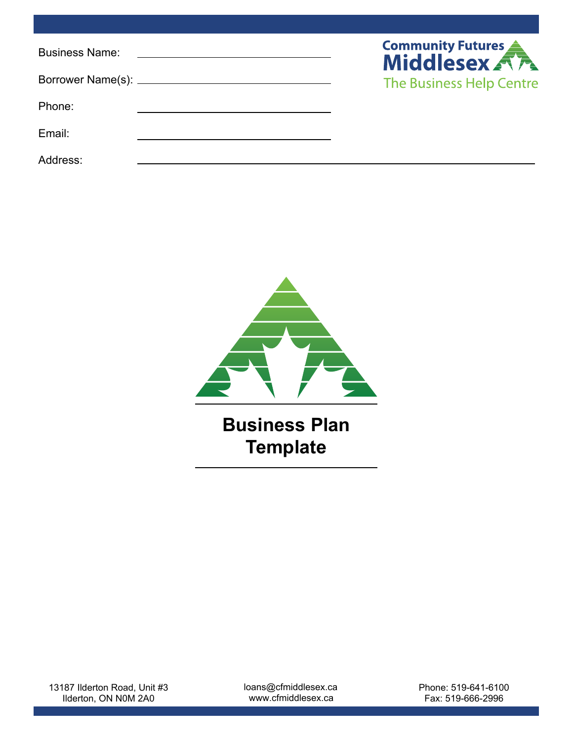| <b>Business Name:</b> | <b>Community Futures</b> |
|-----------------------|--------------------------|
|                       | The Business Help Centre |
| Phone:                |                          |
| Email:                |                          |
| Address:              |                          |



loans@cfmiddlesex.ca www.cfmiddlesex.ca

Phone: 519-641-6100 Fax: 519-666-2996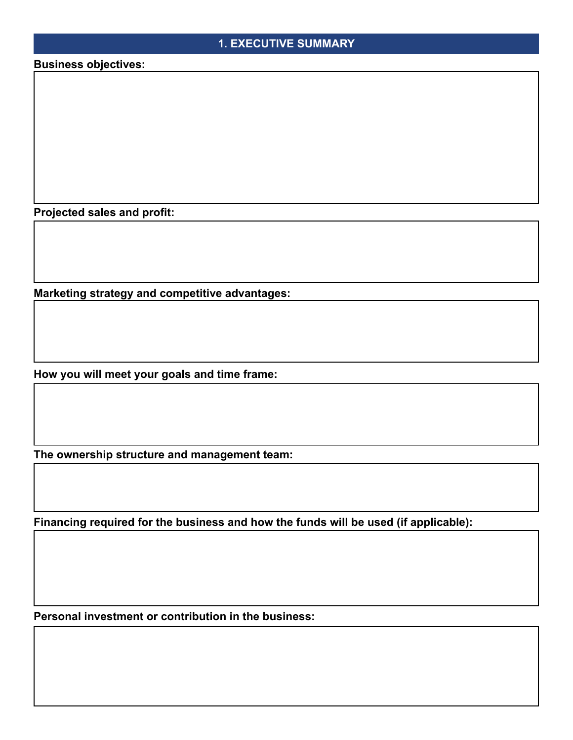# **1. EXECUTIVE SUMMARY**

**Business objectives:**

**Projected sales and profit:**

**Marketing strategy and competitive advantages:**

**How you will meet your goals and time frame:**

**The ownership structure and management team:**

**Financing required for the business and how the funds will be used (if applicable):**

**Personal investment or contribution in the business:**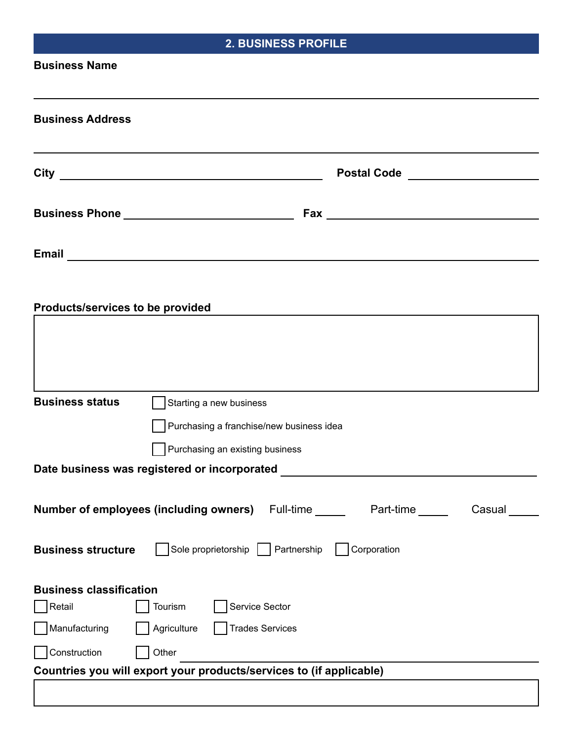| <b>2. BUSINESS PROFILE</b>                                                  |  |  |
|-----------------------------------------------------------------------------|--|--|
| <b>Business Name</b>                                                        |  |  |
|                                                                             |  |  |
| <b>Business Address</b>                                                     |  |  |
|                                                                             |  |  |
| Postal Code _____________________                                           |  |  |
|                                                                             |  |  |
| Business Phone ______________________________                               |  |  |
|                                                                             |  |  |
|                                                                             |  |  |
|                                                                             |  |  |
| Products/services to be provided                                            |  |  |
|                                                                             |  |  |
|                                                                             |  |  |
|                                                                             |  |  |
| <b>Business status</b><br>Starting a new business                           |  |  |
| Purchasing a franchise/new business idea                                    |  |  |
| Purchasing an existing business                                             |  |  |
| Date business was registered or incorporated                                |  |  |
| <b>Number of employees (including owners)</b> Full-time Part-time<br>Casual |  |  |
|                                                                             |  |  |
| Sole proprietorship Partnership<br>Corporation<br><b>Business structure</b> |  |  |
| <b>Business classification</b>                                              |  |  |
| Service Sector<br>Retail<br>Tourism                                         |  |  |
| Manufacturing<br>Agriculture<br><b>Trades Services</b>                      |  |  |
| Construction<br>Other                                                       |  |  |
| Countries you will export your products/services to (if applicable)         |  |  |
|                                                                             |  |  |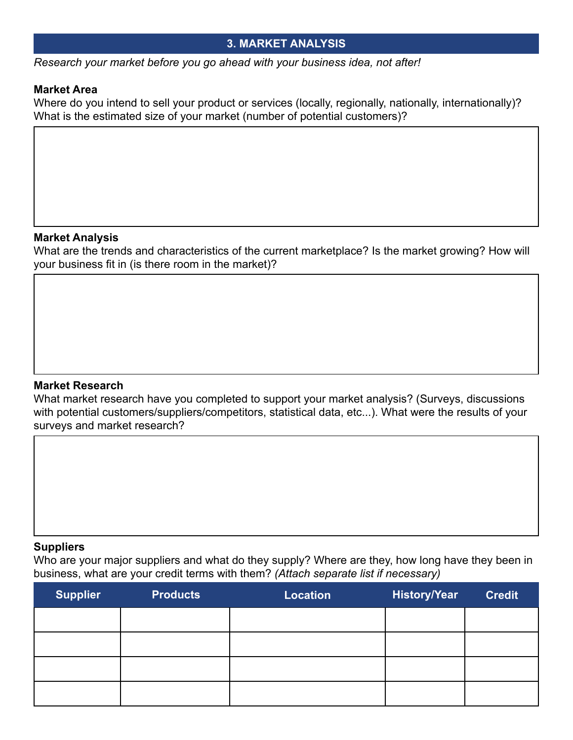# **3. MARKET ANALYSIS**

*Research your market before you go ahead with your business idea, not after!*

## **Market Area**

Where do you intend to sell your product or services (locally, regionally, nationally, internationally)? What is the estimated size of your market (number of potential customers)?

## **Market Analysis**

What are the trends and characteristics of the current marketplace? Is the market growing? How will your business fit in (is there room in the market)?

# **Market Research**

What market research have you completed to support your market analysis? (Surveys, discussions with potential customers/suppliers/competitors, statistical data, etc...). What were the results of your surveys and market research?

## **Suppliers**

Who are your major suppliers and what do they supply? Where are they, how long have they been in business, what are your credit terms with them? *(Attach separate list if necessary)*

| <b>Supplier</b> | <b>Products</b> | Location | <b>History/Year</b> | <b>Credit</b> |
|-----------------|-----------------|----------|---------------------|---------------|
|                 |                 |          |                     |               |
|                 |                 |          |                     |               |
|                 |                 |          |                     |               |
|                 |                 |          |                     |               |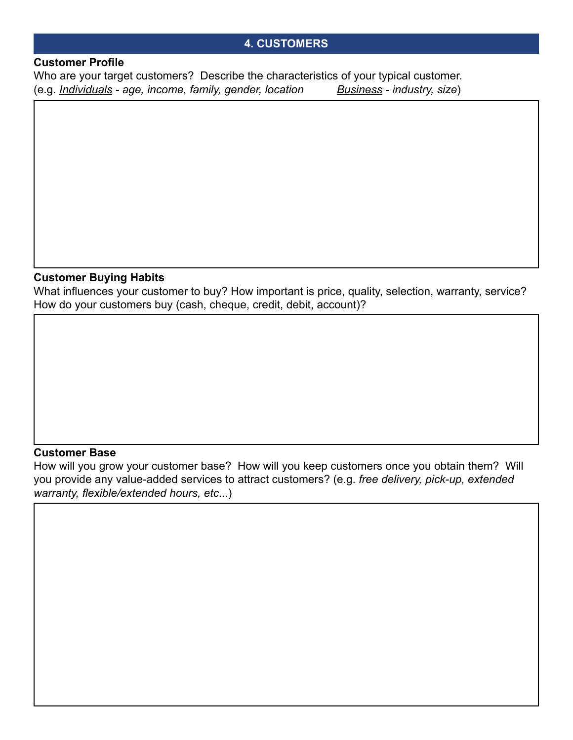## **4. CUSTOMERS**

#### **Customer Profile**

Who are your target customers? Describe the characteristics of your typical customer. (e.g. *Individuals - age, income, family, gender, location Business - industry, size*)

# **Customer Buying Habits**

What influences your customer to buy? How important is price, quality, selection, warranty, service? How do your customers buy (cash, cheque, credit, debit, account)?

#### **Customer Base**

How will you grow your customer base? How will you keep customers once you obtain them? Will you provide any value-added services to attract customers? (e.g. *free delivery, pick-up, extended warranty, flexible/extended hours, etc*...)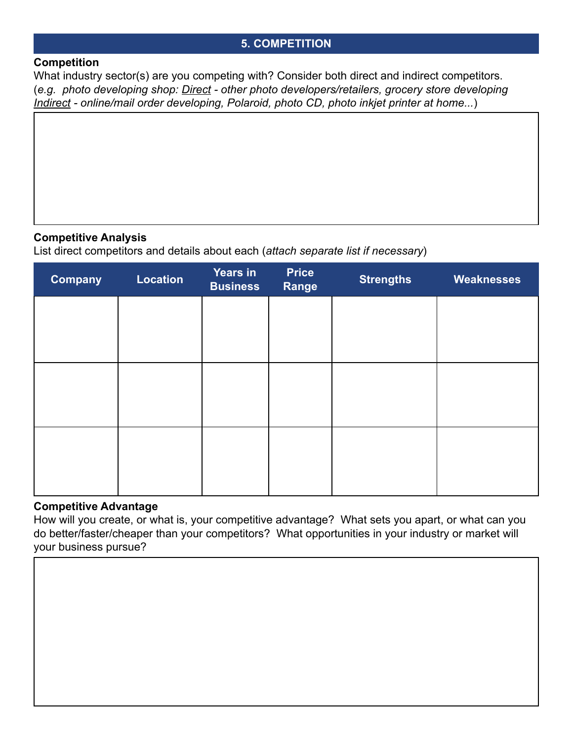## **5. COMPETITION**

#### **Competition**

What industry sector(s) are you competing with? Consider both direct and indirect competitors. (*e.g. photo developing shop: Direct - other photo developers/retailers, grocery store developing Indirect - online/mail order developing, Polaroid, photo CD, photo inkjet printer at home...*)

## **Competitive Analysis**

List direct competitors and details about each (*attach separate list if necessary*)

| <b>Company</b> | <b>Location</b> | <b>Years in</b><br><b>Business</b> | <b>Price</b><br>Range | <b>Strengths</b> | Weaknesses |
|----------------|-----------------|------------------------------------|-----------------------|------------------|------------|
|                |                 |                                    |                       |                  |            |
|                |                 |                                    |                       |                  |            |
|                |                 |                                    |                       |                  |            |
|                |                 |                                    |                       |                  |            |
|                |                 |                                    |                       |                  |            |
|                |                 |                                    |                       |                  |            |

## **Competitive Advantage**

How will you create, or what is, your competitive advantage? What sets you apart, or what can you do better/faster/cheaper than your competitors? What opportunities in your industry or market will your business pursue?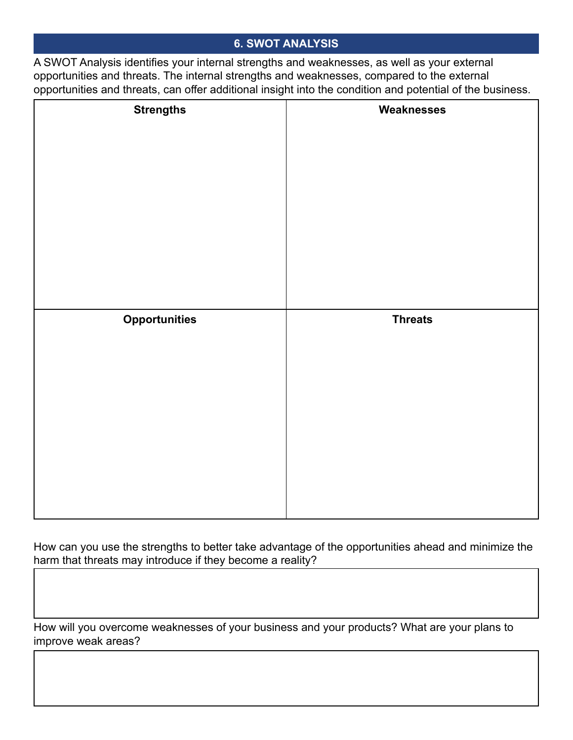# **6. SWOT ANALYSIS**

A SWOT Analysis identifies your internal strengths and weaknesses, as well as your external opportunities and threats. The internal strengths and weaknesses, compared to the external opportunities and threats, can offer additional insight into the condition and potential of the business.

| <b>Strengths</b>     | Weaknesses     |
|----------------------|----------------|
|                      |                |
|                      |                |
|                      |                |
|                      |                |
|                      |                |
|                      |                |
|                      |                |
|                      |                |
|                      |                |
|                      |                |
| <b>Opportunities</b> | <b>Threats</b> |
|                      |                |
|                      |                |
|                      |                |
|                      |                |
|                      |                |
|                      |                |
|                      |                |
|                      |                |
|                      |                |

How can you use the strengths to better take advantage of the opportunities ahead and minimize the harm that threats may introduce if they become a reality?

How will you overcome weaknesses of your business and your products? What are your plans to improve weak areas?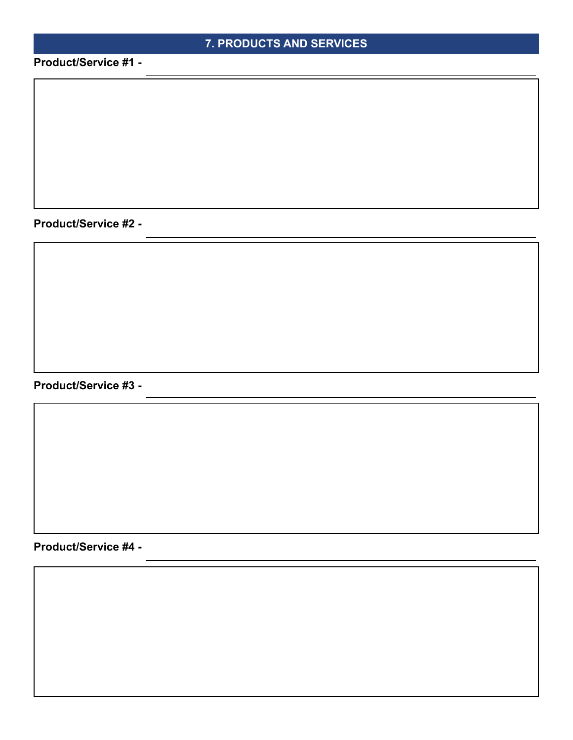# **7. PRODUCTS AND SERVICES**

**Product/Service #1 -**

**Product/Service #2 -**

**Product/Service #3 -**

**Product/Service #4 -**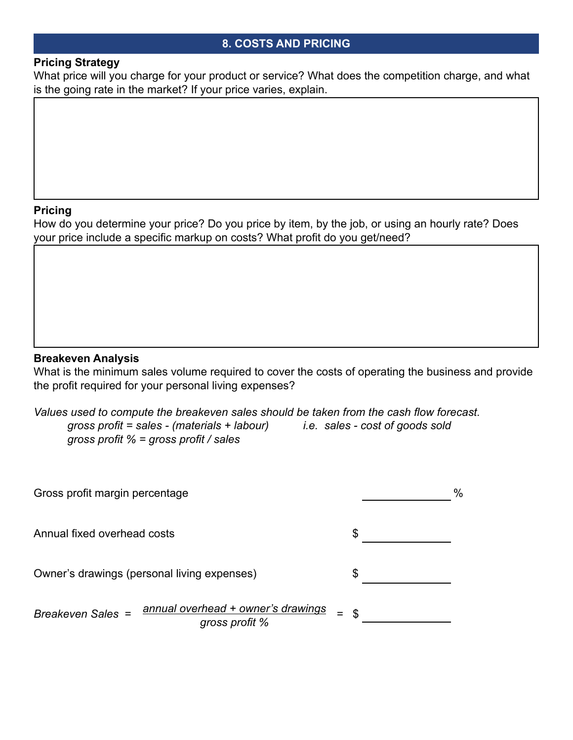## **8. COSTS AND PRICING**

## **Pricing Strategy**

What price will you charge for your product or service? What does the competition charge, and what is the going rate in the market? If your price varies, explain.

## **Pricing**

How do you determine your price? Do you price by item, by the job, or using an hourly rate? Does your price include a specific markup on costs? What profit do you get/need?

## **Breakeven Analysis**

What is the minimum sales volume required to cover the costs of operating the business and provide the profit required for your personal living expenses?

*Values used to compute the breakeven sales should be taken from the cash flow forecast. gross profit = sales - (materials + labour) i.e. sales - cost of goods sold gross profit % = gross profit / sales*

| Gross profit margin percentage                                            |                | $\frac{0}{0}$ |
|---------------------------------------------------------------------------|----------------|---------------|
| Annual fixed overhead costs                                               | \$             |               |
| Owner's drawings (personal living expenses)                               | S              |               |
| annual overhead + owner's drawings<br>Breakeven Sales =<br>gross profit % | $\mathfrak{L}$ |               |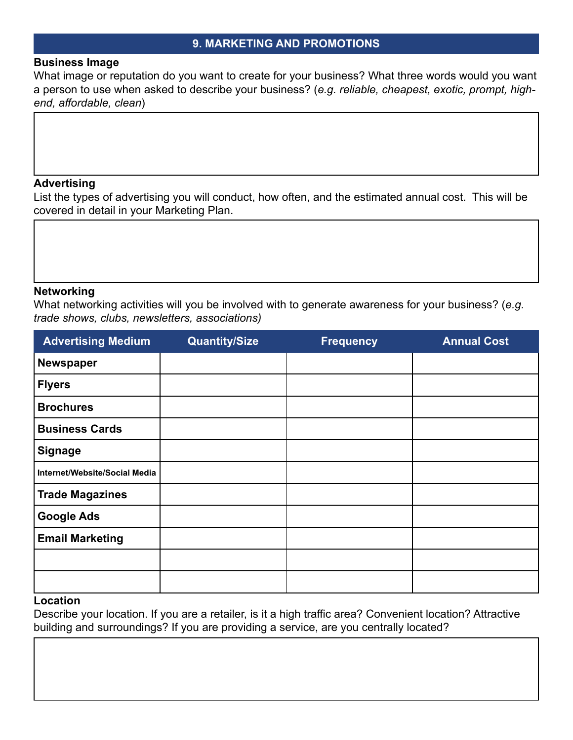#### **9. MARKETING AND PROMOTIONS**

#### **Business Image**

What image or reputation do you want to create for your business? What three words would you want a person to use when asked to describe your business? (*e.g. reliable, cheapest, exotic, prompt, highend, affordable, clean*)

#### **Advertising**

List the types of advertising you will conduct, how often, and the estimated annual cost. This will be covered in detail in your Marketing Plan.

#### **Networking**

What networking activities will you be involved with to generate awareness for your business? (*e.g. trade shows, clubs, newsletters, associations)*

| <b>Advertising Medium</b>     | <b>Quantity/Size</b> | <b>Frequency</b> | <b>Annual Cost</b> |
|-------------------------------|----------------------|------------------|--------------------|
| <b>Newspaper</b>              |                      |                  |                    |
| <b>Flyers</b>                 |                      |                  |                    |
| <b>Brochures</b>              |                      |                  |                    |
| <b>Business Cards</b>         |                      |                  |                    |
| <b>Signage</b>                |                      |                  |                    |
| Internet/Website/Social Media |                      |                  |                    |
| <b>Trade Magazines</b>        |                      |                  |                    |
| <b>Google Ads</b>             |                      |                  |                    |
| <b>Email Marketing</b>        |                      |                  |                    |
|                               |                      |                  |                    |
|                               |                      |                  |                    |

## **Location**

Describe your location. If you are a retailer, is it a high traffic area? Convenient location? Attractive building and surroundings? If you are providing a service, are you centrally located?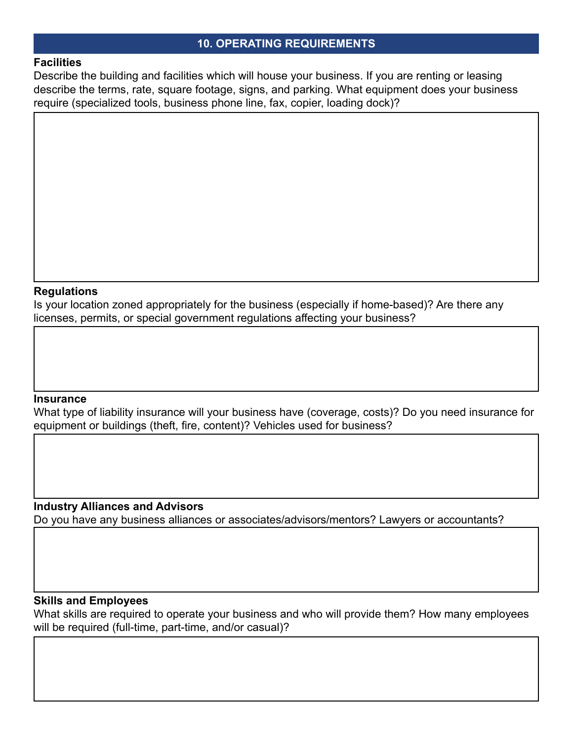## **10. OPERATING REQUIREMENTS**

#### **Facilities**

Describe the building and facilities which will house your business. If you are renting or leasing describe the terms, rate, square footage, signs, and parking. What equipment does your business require (specialized tools, business phone line, fax, copier, loading dock)?

#### **Regulations**

Is your location zoned appropriately for the business (especially if home-based)? Are there any licenses, permits, or special government regulations affecting your business?

#### **Insurance**

What type of liability insurance will your business have (coverage, costs)? Do you need insurance for equipment or buildings (theft, fire, content)? Vehicles used for business?

## **Industry Alliances and Advisors**

Do you have any business alliances or associates/advisors/mentors? Lawyers or accountants?

#### **Skills and Employees**

What skills are required to operate your business and who will provide them? How many employees will be required (full-time, part-time, and/or casual)?